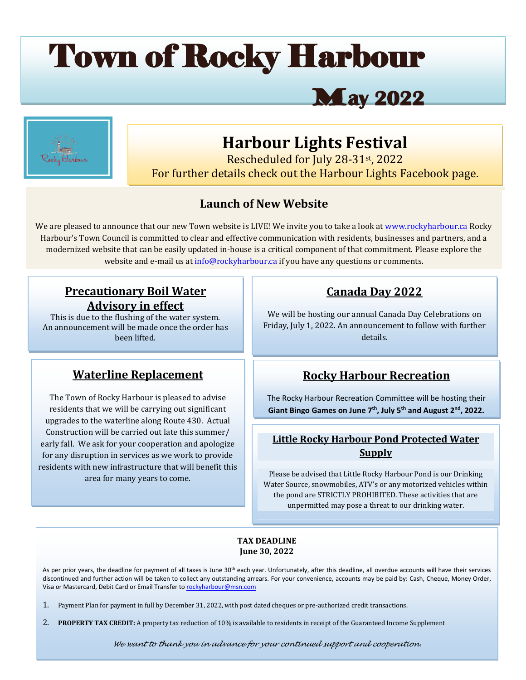# Town of Rocky Harbour

# M**ay 2022**



# **Harbour Lights Festival**

Rescheduled for July 28-31st, 2022 For further details check out the Harbour Lights Facebook page.

# **Launch of New Website**

modernized website that can be easily updated in-house is a critical component of that commitment. Please explore the<br>website and a mail use tinfo@paglybarbour.go if you have any questions are semments We are pleased to announce that our new Town website is LIVE! We invite you to take a look at [www.rockyharbour.ca](http://www.rockyharbour.ca/) Rocky Harbour's Town Council is committed to clear and effective communication with residents, businesses and partners, and a website and e-mail us at [info@rockyharbour.ca](mailto:info@rockyharbour.ca) if you have any questions or comments.

# **Precautionary Boil Water Advisory in effect**

This is due to the flushing of the water system. An announcement will be made once the order has been lifted.

# **Waterline Replacement**

The Town of Rocky Harbour is pleased to advise residents that we will be carrying out significant upgrades to the waterline along Route 430. Actual Construction will be carried out late this summer/ early fall. We ask for your cooperation and apologize for any disruption in services as we work to provide residents with new infrastructure that will benefit this area for many years to come.

# **Canada Day 2022**

We will be hosting our annual Canada Day Celebrations on Friday, July 1, 2022. An announcement to follow with further details.

# **Rocky Harbour Recreation**

The Rocky Harbour Recreation Committee will be hosting their **Giant Bingo Games on June 7th , July 5th and August 2nd, 2022.**

# **Little Rocky Harbour Pond Protected Water Supply**

Please be advised that Little Rocky Harbour Pond is our Drinking Water Source, snowmobiles, ATV's or any motorized vehicles within the pond are STRICTLY PROHIBITED. These activities that are unpermitted may pose a threat to our drinking water.

#### **TAX DEADLINE June 30, 2022**

As per prior years, the deadline for payment of all taxes is June 30<sup>th</sup> each year. Unfortunately, after this deadline, all overdue accounts will have their services discontinued and further action will be taken to collect any outstanding arrears. For your convenience, accounts may be paid by: Cash, Cheque, Money Order, Visa or Mastercard, Debit Card or Email Transfer t[o rockyharbour@msn.com](mailto:rockyharbour@msn.com)

1. Payment Plan for payment in full by December 31, 2022, with post dated cheques or pre-authorized credit transactions.

2. **PROPERTY TAX CREDIT:** A property tax reduction of 10% is available to residents in receipt of the Guaranteed Income Supplement

*We want to thank you in advance for your continued support and cooperation.*